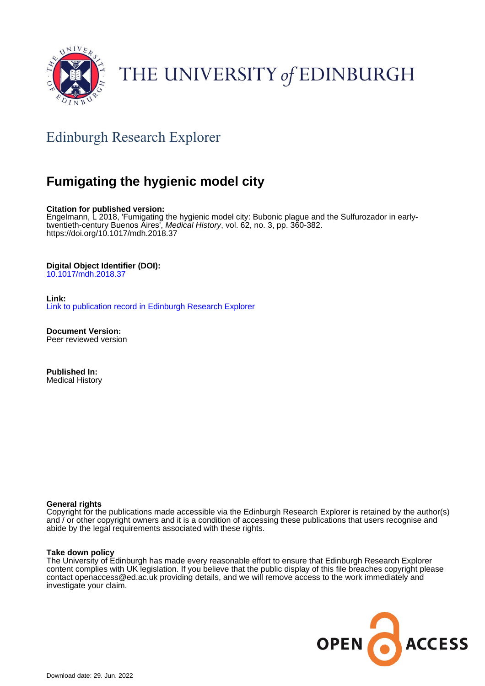

# THE UNIVERSITY of EDINBURGH

## Edinburgh Research Explorer

### **Fumigating the hygienic model city**

#### **Citation for published version:**

Engelmann, L 2018, 'Fumigating the hygienic model city: Bubonic plague and the Sulfurozador in earlytwentieth-century Buenos Aires', Medical History, vol. 62, no. 3, pp. 360-382. <https://doi.org/10.1017/mdh.2018.37>

#### **Digital Object Identifier (DOI):**

[10.1017/mdh.2018.37](https://doi.org/10.1017/mdh.2018.37)

**Link:** [Link to publication record in Edinburgh Research Explorer](https://www.research.ed.ac.uk/en/publications/2e168612-3407-4ae9-92e3-d4bcdba4ea96)

**Document Version:** Peer reviewed version

**Published In:** Medical History

#### **General rights**

Copyright for the publications made accessible via the Edinburgh Research Explorer is retained by the author(s) and / or other copyright owners and it is a condition of accessing these publications that users recognise and abide by the legal requirements associated with these rights.

#### **Take down policy**

The University of Edinburgh has made every reasonable effort to ensure that Edinburgh Research Explorer content complies with UK legislation. If you believe that the public display of this file breaches copyright please contact openaccess@ed.ac.uk providing details, and we will remove access to the work immediately and investigate your claim.

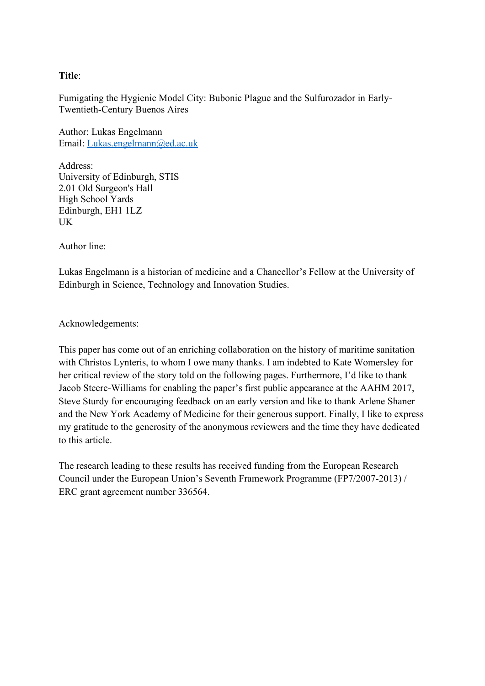**Title**:

Fumigating the Hygienic Model City: Bubonic Plague and the Sulfurozador in Early-Twentieth-Century Buenos Aires

Author: Lukas Engelmann Email: Lukas.engelmann@ed.ac.uk

Address: University of Edinburgh, STIS 2.01 Old Surgeon's Hall High School Yards Edinburgh, EH1 1LZ UK

Author line:

Lukas Engelmann is a historian of medicine and a Chancellor's Fellow at the University of Edinburgh in Science, Technology and Innovation Studies.

Acknowledgements:

This paper has come out of an enriching collaboration on the history of maritime sanitation with Christos Lynteris, to whom I owe many thanks. I am indebted to Kate Womersley for her critical review of the story told on the following pages. Furthermore, I'd like to thank Jacob Steere-Williams for enabling the paper's first public appearance at the AAHM 2017, Steve Sturdy for encouraging feedback on an early version and like to thank Arlene Shaner and the New York Academy of Medicine for their generous support. Finally, I like to express my gratitude to the generosity of the anonymous reviewers and the time they have dedicated to this article.

The research leading to these results has received funding from the European Research Council under the European Union's Seventh Framework Programme (FP7/2007-2013) / ERC grant agreement number 336564.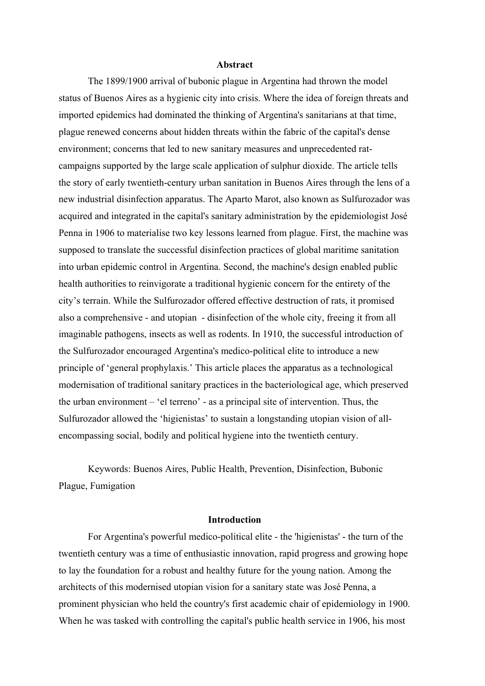#### **Abstract**

The 1899/1900 arrival of bubonic plague in Argentina had thrown the model status of Buenos Aires as a hygienic city into crisis. Where the idea of foreign threats and imported epidemics had dominated the thinking of Argentina's sanitarians at that time, plague renewed concerns about hidden threats within the fabric of the capital's dense environment; concerns that led to new sanitary measures and unprecedented ratcampaigns supported by the large scale application of sulphur dioxide. The article tells the story of early twentieth-century urban sanitation in Buenos Aires through the lens of a new industrial disinfection apparatus. The Aparto Marot, also known as Sulfurozador was acquired and integrated in the capital's sanitary administration by the epidemiologist José Penna in 1906 to materialise two key lessons learned from plague. First, the machine was supposed to translate the successful disinfection practices of global maritime sanitation into urban epidemic control in Argentina. Second, the machine's design enabled public health authorities to reinvigorate a traditional hygienic concern for the entirety of the city's terrain. While the Sulfurozador offered effective destruction of rats, it promised also a comprehensive - and utopian - disinfection of the whole city, freeing it from all imaginable pathogens, insects as well as rodents. In 1910, the successful introduction of the Sulfurozador encouraged Argentina's medico-political elite to introduce a new principle of 'general prophylaxis.' This article places the apparatus as a technological modernisation of traditional sanitary practices in the bacteriological age, which preserved the urban environment – 'el terreno' - as a principal site of intervention. Thus, the Sulfurozador allowed the 'higienistas' to sustain a longstanding utopian vision of allencompassing social, bodily and political hygiene into the twentieth century.

Keywords: Buenos Aires, Public Health, Prevention, Disinfection, Bubonic Plague, Fumigation

#### **Introduction**

For Argentina's powerful medico-political elite - the 'higienistas' - the turn of the twentieth century was a time of enthusiastic innovation, rapid progress and growing hope to lay the foundation for a robust and healthy future for the young nation. Among the architects of this modernised utopian vision for a sanitary state was José Penna, a prominent physician who held the country's first academic chair of epidemiology in 1900. When he was tasked with controlling the capital's public health service in 1906, his most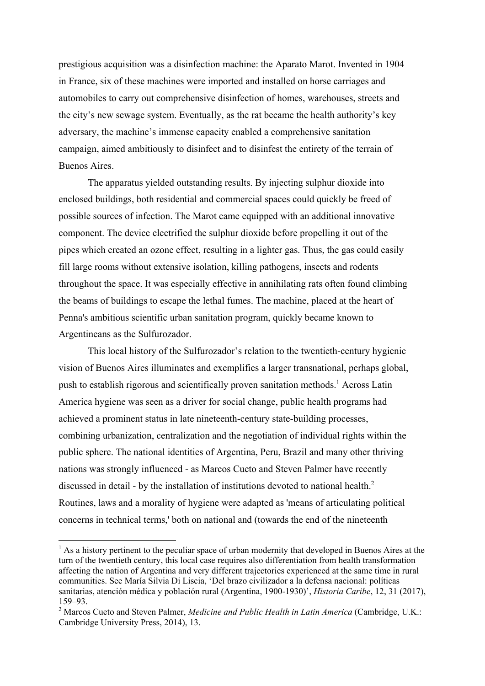prestigious acquisition was a disinfection machine: the Aparato Marot. Invented in 1904 in France, six of these machines were imported and installed on horse carriages and automobiles to carry out comprehensive disinfection of homes, warehouses, streets and the city's new sewage system. Eventually, as the rat became the health authority's key adversary, the machine's immense capacity enabled a comprehensive sanitation campaign, aimed ambitiously to disinfect and to disinfest the entirety of the terrain of Buenos Aires.

The apparatus yielded outstanding results. By injecting sulphur dioxide into enclosed buildings, both residential and commercial spaces could quickly be freed of possible sources of infection. The Marot came equipped with an additional innovative component. The device electrified the sulphur dioxide before propelling it out of the pipes which created an ozone effect, resulting in a lighter gas. Thus, the gas could easily fill large rooms without extensive isolation, killing pathogens, insects and rodents throughout the space. It was especially effective in annihilating rats often found climbing the beams of buildings to escape the lethal fumes. The machine, placed at the heart of Penna's ambitious scientific urban sanitation program, quickly became known to Argentineans as the Sulfurozador.

This local history of the Sulfurozador's relation to the twentieth-century hygienic vision of Buenos Aires illuminates and exemplifies a larger transnational, perhaps global, push to establish rigorous and scientifically proven sanitation methods.<sup>1</sup> Across Latin America hygiene was seen as a driver for social change, public health programs had achieved a prominent status in late nineteenth-century state-building processes, combining urbanization, centralization and the negotiation of individual rights within the public sphere. The national identities of Argentina, Peru, Brazil and many other thriving nations was strongly influenced - as Marcos Cueto and Steven Palmer have recently discussed in detail - by the installation of institutions devoted to national health.<sup>2</sup> Routines, laws and a morality of hygiene were adapted as 'means of articulating political concerns in technical terms,' both on national and (towards the end of the nineteenth

<sup>&</sup>lt;sup>1</sup> As a history pertinent to the peculiar space of urban modernity that developed in Buenos Aires at the turn of the twentieth century, this local case requires also differentiation from health transformation affecting the nation of Argentina and very different trajectories experienced at the same time in rural communities. See María Silvia Di Liscia, 'Del brazo civilizador a la defensa nacional: políticas sanitarias, atención médica y población rural (Argentina, 1900-1930)', *Historia Caribe*, 12, 31 (2017), 159–93.

<sup>2</sup> Marcos Cueto and Steven Palmer, *Medicine and Public Health in Latin America* (Cambridge, U.K.: Cambridge University Press, 2014), 13.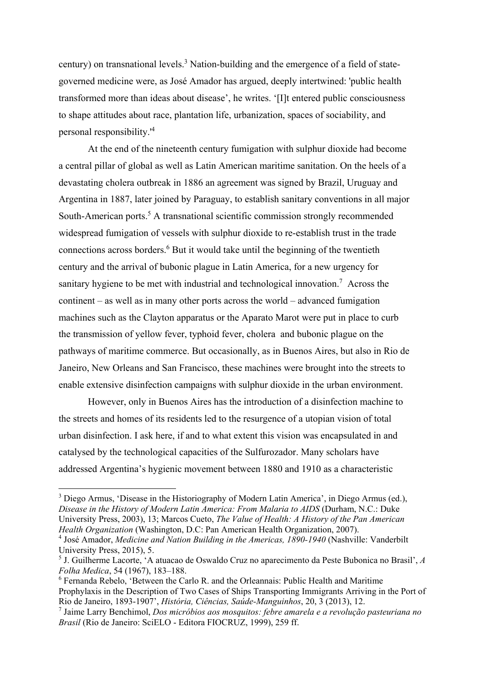century) on transnational levels.<sup>3</sup> Nation-building and the emergence of a field of stategoverned medicine were, as José Amador has argued, deeply intertwined: 'public health transformed more than ideas about disease', he writes. '[I]t entered public consciousness to shape attitudes about race, plantation life, urbanization, spaces of sociability, and personal responsibility.'<sup>4</sup>

At the end of the nineteenth century fumigation with sulphur dioxide had become a central pillar of global as well as Latin American maritime sanitation. On the heels of a devastating cholera outbreak in 1886 an agreement was signed by Brazil, Uruguay and Argentina in 1887, later joined by Paraguay, to establish sanitary conventions in all major South-American ports.<sup>5</sup> A transnational scientific commission strongly recommended widespread fumigation of vessels with sulphur dioxide to re-establish trust in the trade connections across borders.<sup>6</sup> But it would take until the beginning of the twentieth century and the arrival of bubonic plague in Latin America, for a new urgency for sanitary hygiene to be met with industrial and technological innovation.<sup>7</sup> Across the continent – as well as in many other ports across the world – advanced fumigation machines such as the Clayton apparatus or the Aparato Marot were put in place to curb the transmission of yellow fever, typhoid fever, cholera and bubonic plague on the pathways of maritime commerce. But occasionally, as in Buenos Aires, but also in Rio de Janeiro, New Orleans and San Francisco, these machines were brought into the streets to enable extensive disinfection campaigns with sulphur dioxide in the urban environment.

However, only in Buenos Aires has the introduction of a disinfection machine to the streets and homes of its residents led to the resurgence of a utopian vision of total urban disinfection. I ask here, if and to what extent this vision was encapsulated in and catalysed by the technological capacities of the Sulfurozador. Many scholars have addressed Argentina's hygienic movement between 1880 and 1910 as a characteristic

<sup>&</sup>lt;sup>3</sup> Diego Armus, 'Disease in the Historiography of Modern Latin America', in Diego Armus (ed.), *Disease in the History of Modern Latin America: From Malaria to AIDS* (Durham, N.C.: Duke University Press, 2003), 13; Marcos Cueto, *The Value of Health: A History of the Pan American Health Organization* (Washington, D.C: Pan American Health Organization, 2007).

<sup>4</sup> José Amador, *Medicine and Nation Building in the Americas, 1890-1940* (Nashville: Vanderbilt University Press, 2015), 5.

<sup>5</sup> J. Guilherme Lacorte, 'A atuacao de Oswaldo Cruz no aparecimento da Peste Bubonica no Brasil', *A Folha Medica*, 54 (1967), 183–188.

<sup>&</sup>lt;sup>6</sup> Fernanda Rebelo, 'Between the Carlo R. and the Orleannais: Public Health and Maritime Prophylaxis in the Description of Two Cases of Ships Transporting Immigrants Arriving in the Port of Rio de Janeiro, 1893-1907', *História, Ciências, Saúde-Manguinhos*, 20, 3 (2013), 12.

<sup>7</sup> Jaime Larry Benchimol, *Dos micróbios aos mosquitos: febre amarela e a revolução pasteuriana no Brasil* (Rio de Janeiro: SciELO - Editora FIOCRUZ, 1999), 259 ff.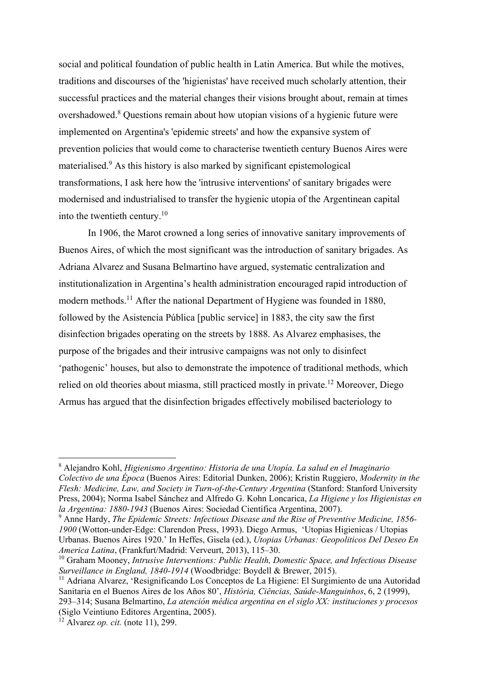social and political foundation of public health in Latin America. But while the motives, traditions and discourses of the 'higienistas' have received much scholarly attention, their successful practices and the material changes their visions brought about, remain at times overshadowed.<sup>8</sup> Questions remain about how utopian visions of a hygienic future were implemented on Argentina's 'epidemic streets' and how the expansive system of prevention policies that would come to characterise twentieth century Buenos Aires were materialised.<sup>9</sup> As this history is also marked by significant epistemological transformations, I ask here how the 'intrusive interventions' of sanitary brigades were modernised and industrialised to transfer the hygienic utopia of the Argentinean capital into the twentieth century. $10$ 

In 1906, the Marot crowned a long series of innovative sanitary improvements of Buenos Aires, of which the most significant was the introduction of sanitary brigades. As Adriana Alvarez and Susana Belmartino have argued, systematic centralization and institutionalization in Argentina's health administration encouraged rapid introduction of modern methods.<sup>11</sup> After the national Department of Hygiene was founded in 1880, followed by the Asistencia Pública [public service] in 1883, the city saw the first disinfection brigades operating on the streets by 1888. As Alvarez emphasises, the purpose of the brigades and their intrusive campaigns was not only to disinfect 'pathogenic' houses, but also to demonstrate the impotence of traditional methods, which relied on old theories about miasma, still practiced mostly in private.<sup>12</sup> Moreover, Diego Armus has argued that the disinfection brigades effectively mobilised bacteriology to

<sup>8</sup> Alejandro Kohl, *Higienismo Argentino: Historia de una Utopía. La salud en el Imaginario Colectivo de una Época* (Buenos Aires: Editorial Dunken, 2006); Kristin Ruggiero, *Modernity in the Flesh: Medicine, Law, and Society in Turn-of-the-Century Argentina* (Stanford: Stanford University Press, 2004); Norma Isabel Sánchez and Alfredo G. Kohn Loncarica, *La Higiene y los Higienistas en la Argentina: 1880-1943* (Buenos Aires: Sociedad Científica Argentina, 2007).

<sup>9</sup> Anne Hardy, *The Epidemic Streets: Infectious Disease and the Rise of Preventive Medicine, 1856- 1900* (Wotton-under-Edge: Clarendon Press, 1993). Diego Armus, 'Utopias Higienicas / Utopias Urbanas. Buenos Aires 1920.' In Heffes, Gisela (ed.), *Utopias Urbanas: Geopoliticos Del Deseo En America Latina*, (Frankfurt/Madrid: Verveurt, 2013), 115–30.

<sup>10</sup> Graham Mooney, *Intrusive Interventions: Public Health, Domestic Space, and Infectious Disease Surveillance in England, 1840-1914* (Woodbridge: Boydell & Brewer, 2015).

<sup>&</sup>lt;sup>11</sup> Adriana Alvarez, 'Resignificando Los Conceptos de La Higiene: El Surgimiento de una Autoridad Sanitaria en el Buenos Aires de los Años 80', *História, Ciências, Saúde-Manguinhos*, 6, 2 (1999),

<sup>293–314;</sup> Susana Belmartino, *La atención médica argentina en el siglo XX: instituciones y procesos* (Siglo Veintiuno Editores Argentina, 2005).

<sup>12</sup> Alvarez *op. cit.* (note 11), 299.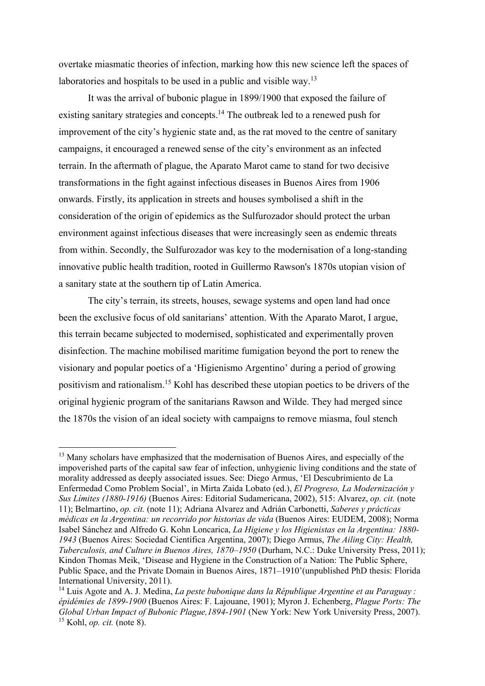overtake miasmatic theories of infection, marking how this new science left the spaces of laboratories and hospitals to be used in a public and visible way.<sup>13</sup>

It was the arrival of bubonic plague in 1899/1900 that exposed the failure of existing sanitary strategies and concepts.<sup>14</sup> The outbreak led to a renewed push for improvement of the city's hygienic state and, as the rat moved to the centre of sanitary campaigns, it encouraged a renewed sense of the city's environment as an infected terrain. In the aftermath of plague, the Aparato Marot came to stand for two decisive transformations in the fight against infectious diseases in Buenos Aires from 1906 onwards. Firstly, its application in streets and houses symbolised a shift in the consideration of the origin of epidemics as the Sulfurozador should protect the urban environment against infectious diseases that were increasingly seen as endemic threats from within. Secondly, the Sulfurozador was key to the modernisation of a long-standing innovative public health tradition, rooted in Guillermo Rawson's 1870s utopian vision of a sanitary state at the southern tip of Latin America.

The city's terrain, its streets, houses, sewage systems and open land had once been the exclusive focus of old sanitarians' attention. With the Aparato Marot, I argue, this terrain became subjected to modernised, sophisticated and experimentally proven disinfection. The machine mobilised maritime fumigation beyond the port to renew the visionary and popular poetics of a 'Higienismo Argentino' during a period of growing positivism and rationalism.15 Kohl has described these utopian poetics to be drivers of the original hygienic program of the sanitarians Rawson and Wilde. They had merged since the 1870s the vision of an ideal society with campaigns to remove miasma, foul stench

<sup>&</sup>lt;sup>13</sup> Many scholars have emphasized that the modernisation of Buenos Aires, and especially of the impoverished parts of the capital saw fear of infection, unhygienic living conditions and the state of morality addressed as deeply associated issues. See: Diego Armus, 'El Descubrimiento de La Enfermedad Como Problem Social', in Mirta Zaida Lobato (ed.), *El Progreso, La Modernización y Sus Límites (1880-1916)* (Buenos Aires: Editorial Sudamericana, 2002), 515: Alvarez, *op. cit.* (note 11); Belmartino, *op. cit.* (note 11); Adriana Alvarez and Adrián Carbonetti, *Saberes y prácticas médicas en la Argentina: un recorrido por historias de vida* (Buenos Aires: EUDEM, 2008); Norma Isabel Sánchez and Alfredo G. Kohn Loncarica, *La Higiene y los Higienistas en la Argentina: 1880- 1943* (Buenos Aires: Sociedad Científica Argentina, 2007); Diego Armus, *The Ailing City: Health, Tuberculosis, and Culture in Buenos Aires, 1870–1950* (Durham, N.C.: Duke University Press, 2011); Kindon Thomas Meik, 'Disease and Hygiene in the Construction of a Nation: The Public Sphere, Public Space, and the Private Domain in Buenos Aires, 1871–1910'(unpublished PhD thesis: Florida International University, 2011).

<sup>14</sup> Luis Agote and A. J. Medina, *La peste bubonique dans la République Argentine et au Paraguay : épidémies de 1899-1900* (Buenos Aires: F. Lajouane, 1901); Myron J. Echenberg, *Plague Ports: The Global Urban Impact of Bubonic Plague,1894-1901* (New York: New York University Press, 2007). 15 Kohl, *op. cit.* (note 8).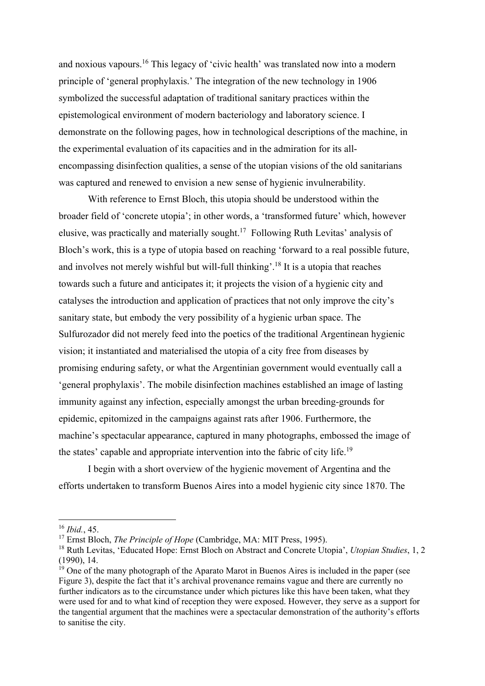and noxious vapours.16 This legacy of 'civic health' was translated now into a modern principle of 'general prophylaxis.' The integration of the new technology in 1906 symbolized the successful adaptation of traditional sanitary practices within the epistemological environment of modern bacteriology and laboratory science. I demonstrate on the following pages, how in technological descriptions of the machine, in the experimental evaluation of its capacities and in the admiration for its allencompassing disinfection qualities, a sense of the utopian visions of the old sanitarians was captured and renewed to envision a new sense of hygienic invulnerability.

With reference to Ernst Bloch, this utopia should be understood within the broader field of 'concrete utopia'; in other words, a 'transformed future' which, however elusive, was practically and materially sought.<sup>17</sup> Following Ruth Levitas' analysis of Bloch's work, this is a type of utopia based on reaching 'forward to a real possible future, and involves not merely wishful but will-full thinking'.18 It is a utopia that reaches towards such a future and anticipates it; it projects the vision of a hygienic city and catalyses the introduction and application of practices that not only improve the city's sanitary state, but embody the very possibility of a hygienic urban space. The Sulfurozador did not merely feed into the poetics of the traditional Argentinean hygienic vision; it instantiated and materialised the utopia of a city free from diseases by promising enduring safety, or what the Argentinian government would eventually call a 'general prophylaxis'. The mobile disinfection machines established an image of lasting immunity against any infection, especially amongst the urban breeding-grounds for epidemic, epitomized in the campaigns against rats after 1906. Furthermore, the machine's spectacular appearance, captured in many photographs, embossed the image of the states' capable and appropriate intervention into the fabric of city life.<sup>19</sup>

I begin with a short overview of the hygienic movement of Argentina and the efforts undertaken to transform Buenos Aires into a model hygienic city since 1870. The

<sup>16</sup> *Ibid.*, 45.

<sup>&</sup>lt;sup>17</sup> Ernst Bloch, *The Principle of Hope* (Cambridge, MA: MIT Press, 1995).

<sup>18</sup> Ruth Levitas, 'Educated Hope: Ernst Bloch on Abstract and Concrete Utopia', *Utopian Studies*, 1, 2 (1990), 14.

 $19$  One of the many photograph of the Aparato Marot in Buenos Aires is included in the paper (see Figure 3), despite the fact that it's archival provenance remains vague and there are currently no further indicators as to the circumstance under which pictures like this have been taken, what they were used for and to what kind of reception they were exposed. However, they serve as a support for the tangential argument that the machines were a spectacular demonstration of the authority's efforts to sanitise the city.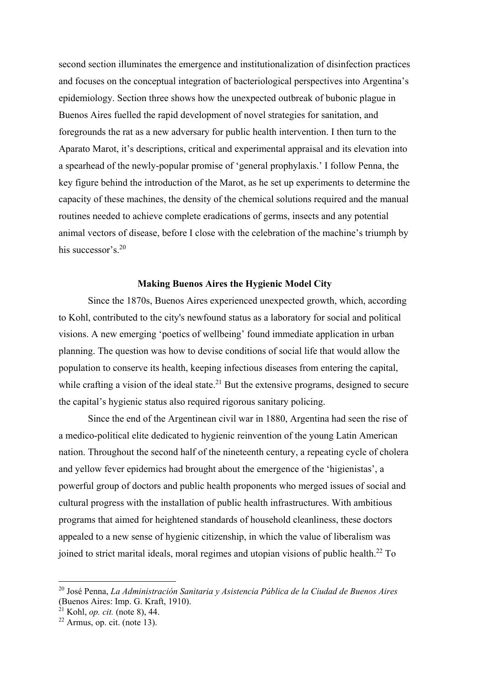second section illuminates the emergence and institutionalization of disinfection practices and focuses on the conceptual integration of bacteriological perspectives into Argentina's epidemiology. Section three shows how the unexpected outbreak of bubonic plague in Buenos Aires fuelled the rapid development of novel strategies for sanitation, and foregrounds the rat as a new adversary for public health intervention. I then turn to the Aparato Marot, it's descriptions, critical and experimental appraisal and its elevation into a spearhead of the newly-popular promise of 'general prophylaxis.' I follow Penna, the key figure behind the introduction of the Marot, as he set up experiments to determine the capacity of these machines, the density of the chemical solutions required and the manual routines needed to achieve complete eradications of germs, insects and any potential animal vectors of disease, before I close with the celebration of the machine's triumph by his successor's.<sup>20</sup>

#### **Making Buenos Aires the Hygienic Model City**

Since the 1870s, Buenos Aires experienced unexpected growth, which, according to Kohl, contributed to the city's newfound status as a laboratory for social and political visions. A new emerging 'poetics of wellbeing' found immediate application in urban planning. The question was how to devise conditions of social life that would allow the population to conserve its health, keeping infectious diseases from entering the capital, while crafting a vision of the ideal state.<sup>21</sup> But the extensive programs, designed to secure the capital's hygienic status also required rigorous sanitary policing.

Since the end of the Argentinean civil war in 1880, Argentina had seen the rise of a medico-political elite dedicated to hygienic reinvention of the young Latin American nation. Throughout the second half of the nineteenth century, a repeating cycle of cholera and yellow fever epidemics had brought about the emergence of the 'higienistas', a powerful group of doctors and public health proponents who merged issues of social and cultural progress with the installation of public health infrastructures. With ambitious programs that aimed for heightened standards of household cleanliness, these doctors appealed to a new sense of hygienic citizenship, in which the value of liberalism was joined to strict marital ideals, moral regimes and utopian visions of public health.<sup>22</sup> To

<sup>20</sup> José Penna, *La Administración Sanitaria y Asistencia Pública de la Ciudad de Buenos Aires* (Buenos Aires: Imp. G. Kraft, 1910).

 $^{21}$  Kohl, *op. cit.* (note 8), 44.

 $22$  Armus, op. cit. (note 13).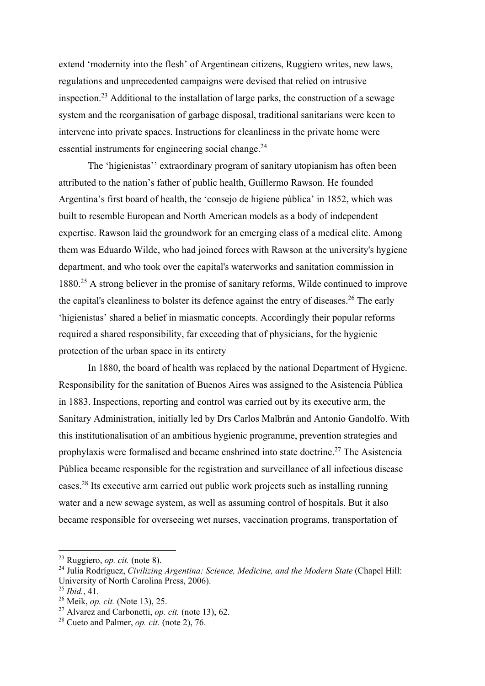extend 'modernity into the flesh' of Argentinean citizens, Ruggiero writes, new laws, regulations and unprecedented campaigns were devised that relied on intrusive inspection.<sup>23</sup> Additional to the installation of large parks, the construction of a sewage system and the reorganisation of garbage disposal, traditional sanitarians were keen to intervene into private spaces. Instructions for cleanliness in the private home were essential instruments for engineering social change.<sup>24</sup>

The 'higienistas'' extraordinary program of sanitary utopianism has often been attributed to the nation's father of public health, Guillermo Rawson. He founded Argentina's first board of health, the 'consejo de higiene pública' in 1852, which was built to resemble European and North American models as a body of independent expertise. Rawson laid the groundwork for an emerging class of a medical elite. Among them was Eduardo Wilde, who had joined forces with Rawson at the university's hygiene department, and who took over the capital's waterworks and sanitation commission in 1880.25 A strong believer in the promise of sanitary reforms, Wilde continued to improve the capital's cleanliness to bolster its defence against the entry of diseases.<sup>26</sup> The early 'higienistas' shared a belief in miasmatic concepts. Accordingly their popular reforms required a shared responsibility, far exceeding that of physicians, for the hygienic protection of the urban space in its entirety

In 1880, the board of health was replaced by the national Department of Hygiene. Responsibility for the sanitation of Buenos Aires was assigned to the Asistencia Pública in 1883. Inspections, reporting and control was carried out by its executive arm, the Sanitary Administration, initially led by Drs Carlos Malbrán and Antonio Gandolfo. With this institutionalisation of an ambitious hygienic programme, prevention strategies and prophylaxis were formalised and became enshrined into state doctrine.27 The Asistencia Pública became responsible for the registration and surveillance of all infectious disease cases.28 Its executive arm carried out public work projects such as installing running water and a new sewage system, as well as assuming control of hospitals. But it also became responsible for overseeing wet nurses, vaccination programs, transportation of

<sup>23</sup> Ruggiero, *op. cit.* (note 8).

<sup>24</sup> Julia Rodríguez, *Civilizing Argentina: Science, Medicine, and the Modern State* (Chapel Hill: University of North Carolina Press, 2006).

<sup>25</sup> *Ibid.*, 41.

<sup>26</sup> Meik, *op. cit.* (Note 13), 25.

<sup>27</sup> Alvarez and Carbonetti, *op. cit.* (note 13), 62.

<sup>28</sup> Cueto and Palmer, *op. cit.* (note 2), 76.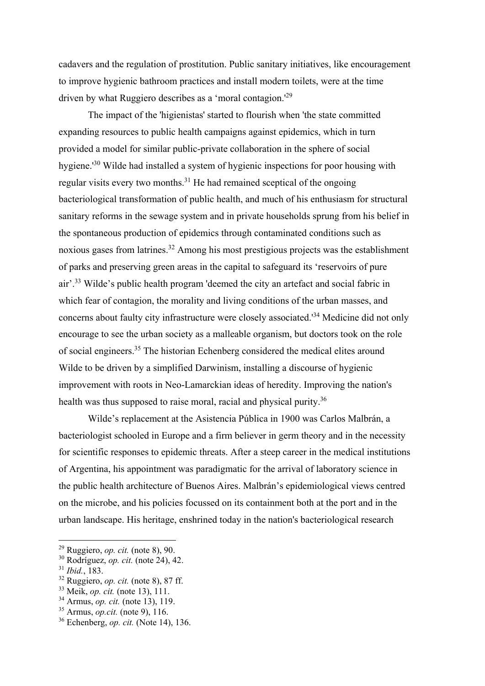cadavers and the regulation of prostitution. Public sanitary initiatives, like encouragement to improve hygienic bathroom practices and install modern toilets, were at the time driven by what Ruggiero describes as a 'moral contagion.'<sup>29</sup>

The impact of the 'higienistas' started to flourish when 'the state committed expanding resources to public health campaigns against epidemics, which in turn provided a model for similar public-private collaboration in the sphere of social hygiene.'30 Wilde had installed a system of hygienic inspections for poor housing with regular visits every two months.<sup>31</sup> He had remained sceptical of the ongoing bacteriological transformation of public health, and much of his enthusiasm for structural sanitary reforms in the sewage system and in private households sprung from his belief in the spontaneous production of epidemics through contaminated conditions such as noxious gases from latrines.<sup>32</sup> Among his most prestigious projects was the establishment of parks and preserving green areas in the capital to safeguard its 'reservoirs of pure air'.33 Wilde's public health program 'deemed the city an artefact and social fabric in which fear of contagion, the morality and living conditions of the urban masses, and concerns about faulty city infrastructure were closely associated.'34 Medicine did not only encourage to see the urban society as a malleable organism, but doctors took on the role of social engineers.35 The historian Echenberg considered the medical elites around Wilde to be driven by a simplified Darwinism, installing a discourse of hygienic improvement with roots in Neo-Lamarckian ideas of heredity. Improving the nation's health was thus supposed to raise moral, racial and physical purity.<sup>36</sup>

Wilde's replacement at the Asistencia Pública in 1900 was Carlos Malbrán, a bacteriologist schooled in Europe and a firm believer in germ theory and in the necessity for scientific responses to epidemic threats. After a steep career in the medical institutions of Argentina, his appointment was paradigmatic for the arrival of laboratory science in the public health architecture of Buenos Aires. Malbrán's epidemiological views centred on the microbe, and his policies focussed on its containment both at the port and in the urban landscape. His heritage, enshrined today in the nation's bacteriological research

<sup>29</sup> Ruggiero, *op. cit.* (note 8), 90.

<sup>30</sup> Rodríguez, *op. cit.* (note 24), 42.

<sup>31</sup> *Ibid.*, 183.

<sup>32</sup> Ruggiero, *op. cit.* (note 8), 87 ff.

<sup>33</sup> Meik, *op. cit.* (note 13), 111.

<sup>34</sup> Armus, *op. cit.* (note 13), 119.

<sup>35</sup> Armus, *op.cit.* (note 9), 116.

<sup>36</sup> Echenberg, *op. cit.* (Note 14), 136.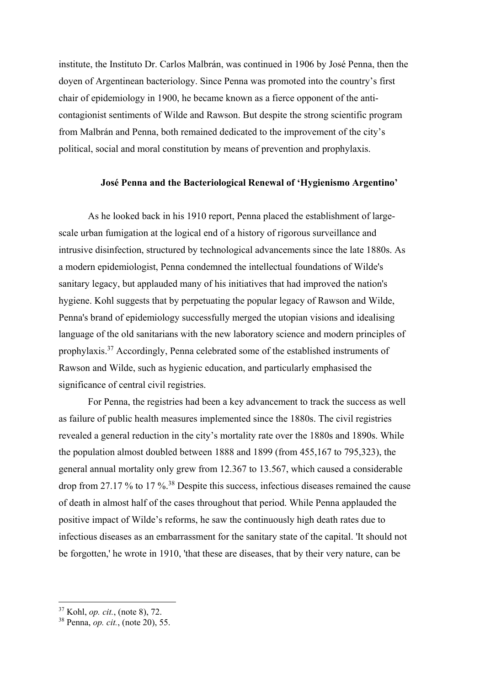institute, the Instituto Dr. Carlos Malbrán, was continued in 1906 by José Penna, then the doyen of Argentinean bacteriology. Since Penna was promoted into the country's first chair of epidemiology in 1900, he became known as a fierce opponent of the anticontagionist sentiments of Wilde and Rawson. But despite the strong scientific program from Malbrán and Penna, both remained dedicated to the improvement of the city's political, social and moral constitution by means of prevention and prophylaxis.

#### **José Penna and the Bacteriological Renewal of 'Hygienismo Argentino'**

As he looked back in his 1910 report, Penna placed the establishment of largescale urban fumigation at the logical end of a history of rigorous surveillance and intrusive disinfection, structured by technological advancements since the late 1880s. As a modern epidemiologist, Penna condemned the intellectual foundations of Wilde's sanitary legacy, but applauded many of his initiatives that had improved the nation's hygiene. Kohl suggests that by perpetuating the popular legacy of Rawson and Wilde, Penna's brand of epidemiology successfully merged the utopian visions and idealising language of the old sanitarians with the new laboratory science and modern principles of prophylaxis.37 Accordingly, Penna celebrated some of the established instruments of Rawson and Wilde, such as hygienic education, and particularly emphasised the significance of central civil registries.

For Penna, the registries had been a key advancement to track the success as well as failure of public health measures implemented since the 1880s. The civil registries revealed a general reduction in the city's mortality rate over the 1880s and 1890s. While the population almost doubled between 1888 and 1899 (from 455,167 to 795,323), the general annual mortality only grew from 12.367 to 13.567, which caused a considerable drop from 27.17 % to 17 %.38 Despite this success, infectious diseases remained the cause of death in almost half of the cases throughout that period. While Penna applauded the positive impact of Wilde's reforms, he saw the continuously high death rates due to infectious diseases as an embarrassment for the sanitary state of the capital. 'It should not be forgotten,' he wrote in 1910, 'that these are diseases, that by their very nature, can be

<sup>37</sup> Kohl, *op. cit.*, (note 8), 72.

<sup>38</sup> Penna, *op. cit.*, (note 20), 55.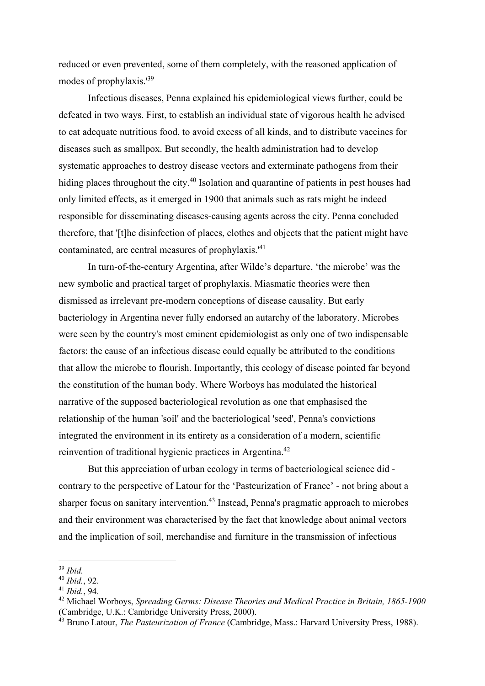reduced or even prevented, some of them completely, with the reasoned application of modes of prophylaxis.'39

Infectious diseases, Penna explained his epidemiological views further, could be defeated in two ways. First, to establish an individual state of vigorous health he advised to eat adequate nutritious food, to avoid excess of all kinds, and to distribute vaccines for diseases such as smallpox. But secondly, the health administration had to develop systematic approaches to destroy disease vectors and exterminate pathogens from their hiding places throughout the city.<sup>40</sup> Isolation and quarantine of patients in pest houses had only limited effects, as it emerged in 1900 that animals such as rats might be indeed responsible for disseminating diseases-causing agents across the city. Penna concluded therefore, that '[t]he disinfection of places, clothes and objects that the patient might have contaminated, are central measures of prophylaxis.'41

In turn-of-the-century Argentina, after Wilde's departure, 'the microbe' was the new symbolic and practical target of prophylaxis. Miasmatic theories were then dismissed as irrelevant pre-modern conceptions of disease causality. But early bacteriology in Argentina never fully endorsed an autarchy of the laboratory. Microbes were seen by the country's most eminent epidemiologist as only one of two indispensable factors: the cause of an infectious disease could equally be attributed to the conditions that allow the microbe to flourish. Importantly, this ecology of disease pointed far beyond the constitution of the human body. Where Worboys has modulated the historical narrative of the supposed bacteriological revolution as one that emphasised the relationship of the human 'soil' and the bacteriological 'seed', Penna's convictions integrated the environment in its entirety as a consideration of a modern, scientific reinvention of traditional hygienic practices in Argentina.<sup>42</sup>

But this appreciation of urban ecology in terms of bacteriological science did contrary to the perspective of Latour for the 'Pasteurization of France' - not bring about a sharper focus on sanitary intervention.<sup>43</sup> Instead, Penna's pragmatic approach to microbes and their environment was characterised by the fact that knowledge about animal vectors and the implication of soil, merchandise and furniture in the transmission of infectious

<sup>&</sup>lt;u>.</u> <sup>39</sup> *Ibid.* 

<sup>40</sup> *Ibid.*, 92.

<sup>41</sup> *Ibid.*, 94.

<sup>42</sup> Michael Worboys, *Spreading Germs: Disease Theories and Medical Practice in Britain, 1865-1900* (Cambridge, U.K.: Cambridge University Press, 2000).

<sup>&</sup>lt;sup>43</sup> Bruno Latour, *The Pasteurization of France* (Cambridge, Mass.: Harvard University Press, 1988).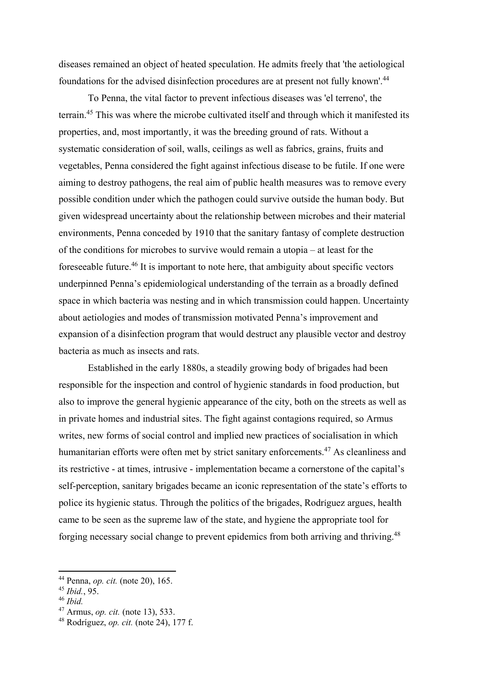diseases remained an object of heated speculation. He admits freely that 'the aetiological foundations for the advised disinfection procedures are at present not fully known'.44

To Penna, the vital factor to prevent infectious diseases was 'el terreno', the terrain.45 This was where the microbe cultivated itself and through which it manifested its properties, and, most importantly, it was the breeding ground of rats. Without a systematic consideration of soil, walls, ceilings as well as fabrics, grains, fruits and vegetables, Penna considered the fight against infectious disease to be futile. If one were aiming to destroy pathogens, the real aim of public health measures was to remove every possible condition under which the pathogen could survive outside the human body. But given widespread uncertainty about the relationship between microbes and their material environments, Penna conceded by 1910 that the sanitary fantasy of complete destruction of the conditions for microbes to survive would remain a utopia – at least for the foreseeable future.46 It is important to note here, that ambiguity about specific vectors underpinned Penna's epidemiological understanding of the terrain as a broadly defined space in which bacteria was nesting and in which transmission could happen. Uncertainty about aetiologies and modes of transmission motivated Penna's improvement and expansion of a disinfection program that would destruct any plausible vector and destroy bacteria as much as insects and rats.

Established in the early 1880s, a steadily growing body of brigades had been responsible for the inspection and control of hygienic standards in food production, but also to improve the general hygienic appearance of the city, both on the streets as well as in private homes and industrial sites. The fight against contagions required, so Armus writes, new forms of social control and implied new practices of socialisation in which humanitarian efforts were often met by strict sanitary enforcements.<sup>47</sup> As cleanliness and its restrictive - at times, intrusive - implementation became a cornerstone of the capital's self-perception, sanitary brigades became an iconic representation of the state's efforts to police its hygienic status. Through the politics of the brigades, Rodríguez argues, health came to be seen as the supreme law of the state, and hygiene the appropriate tool for forging necessary social change to prevent epidemics from both arriving and thriving.48

<sup>44</sup> Penna, *op. cit.* (note 20), 165.

<sup>45</sup> *Ibid.*, 95.

<sup>46</sup> *Ibid.* 47 Armus, *op. cit.* (note 13), 533.

<sup>48</sup> Rodríguez, *op. cit.* (note 24), 177 f.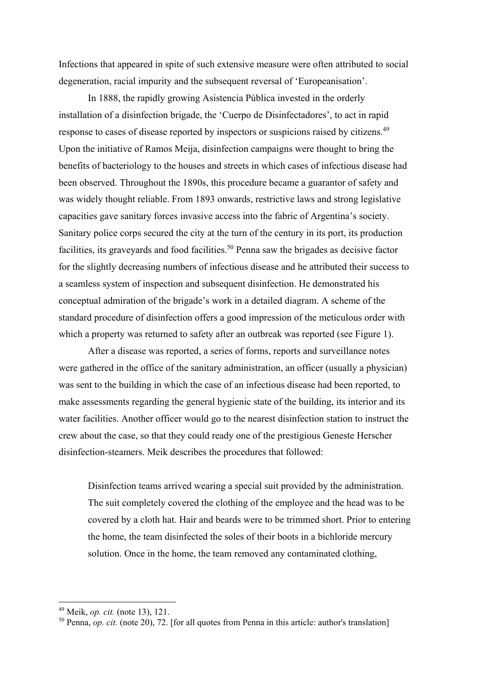Infections that appeared in spite of such extensive measure were often attributed to social degeneration, racial impurity and the subsequent reversal of 'Europeanisation'.

In 1888, the rapidly growing Asistencia Pública invested in the orderly installation of a disinfection brigade, the 'Cuerpo de Disinfectadores', to act in rapid response to cases of disease reported by inspectors or suspicions raised by citizens.<sup>49</sup> Upon the initiative of Ramos Meija, disinfection campaigns were thought to bring the benefits of bacteriology to the houses and streets in which cases of infectious disease had been observed. Throughout the 1890s, this procedure became a guarantor of safety and was widely thought reliable. From 1893 onwards, restrictive laws and strong legislative capacities gave sanitary forces invasive access into the fabric of Argentina's society. Sanitary police corps secured the city at the turn of the century in its port, its production facilities, its graveyards and food facilities.<sup>50</sup> Penna saw the brigades as decisive factor for the slightly decreasing numbers of infectious disease and he attributed their success to a seamless system of inspection and subsequent disinfection. He demonstrated his conceptual admiration of the brigade's work in a detailed diagram. A scheme of the standard procedure of disinfection offers a good impression of the meticulous order with which a property was returned to safety after an outbreak was reported (see Figure 1).

After a disease was reported, a series of forms, reports and surveillance notes were gathered in the office of the sanitary administration, an officer (usually a physician) was sent to the building in which the case of an infectious disease had been reported, to make assessments regarding the general hygienic state of the building, its interior and its water facilities. Another officer would go to the nearest disinfection station to instruct the crew about the case, so that they could ready one of the prestigious Geneste Herscher disinfection-steamers. Meik describes the procedures that followed:

Disinfection teams arrived wearing a special suit provided by the administration. The suit completely covered the clothing of the employee and the head was to be covered by a cloth hat. Hair and beards were to be trimmed short. Prior to entering the home, the team disinfected the soles of their boots in a bichloride mercury solution. Once in the home, the team removed any contaminated clothing,

<sup>49</sup> Meik, *op. cit.* (note 13), 121.

<sup>&</sup>lt;sup>50</sup> Penna, *op. cit.* (note 20), 72. [for all quotes from Penna in this article: author's translation]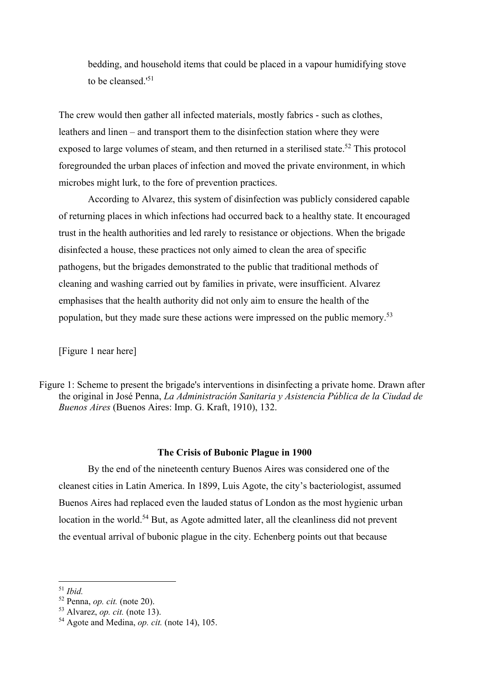bedding, and household items that could be placed in a vapour humidifying stove to be cleansed<sup>151</sup>

The crew would then gather all infected materials, mostly fabrics - such as clothes, leathers and linen – and transport them to the disinfection station where they were exposed to large volumes of steam, and then returned in a sterilised state.<sup>52</sup> This protocol foregrounded the urban places of infection and moved the private environment, in which microbes might lurk, to the fore of prevention practices.

According to Alvarez, this system of disinfection was publicly considered capable of returning places in which infections had occurred back to a healthy state. It encouraged trust in the health authorities and led rarely to resistance or objections. When the brigade disinfected a house, these practices not only aimed to clean the area of specific pathogens, but the brigades demonstrated to the public that traditional methods of cleaning and washing carried out by families in private, were insufficient. Alvarez emphasises that the health authority did not only aim to ensure the health of the population, but they made sure these actions were impressed on the public memory.<sup>53</sup>

[Figure 1 near here]

Figure 1: Scheme to present the brigade's interventions in disinfecting a private home. Drawn after the original in José Penna, *La Administración Sanitaria y Asistencia Pública de la Ciudad de Buenos Aires* (Buenos Aires: Imp. G. Kraft, 1910), 132.

#### **The Crisis of Bubonic Plague in 1900**

By the end of the nineteenth century Buenos Aires was considered one of the cleanest cities in Latin America. In 1899, Luis Agote, the city's bacteriologist, assumed Buenos Aires had replaced even the lauded status of London as the most hygienic urban location in the world.<sup>54</sup> But, as Agote admitted later, all the cleanliness did not prevent the eventual arrival of bubonic plague in the city. Echenberg points out that because

<sup>51</sup> *Ibid.*

<sup>52</sup> Penna, *op. cit.* (note 20).

<sup>53</sup> Alvarez, *op. cit.* (note 13).

<sup>54</sup> Agote and Medina, *op. cit.* (note 14), 105.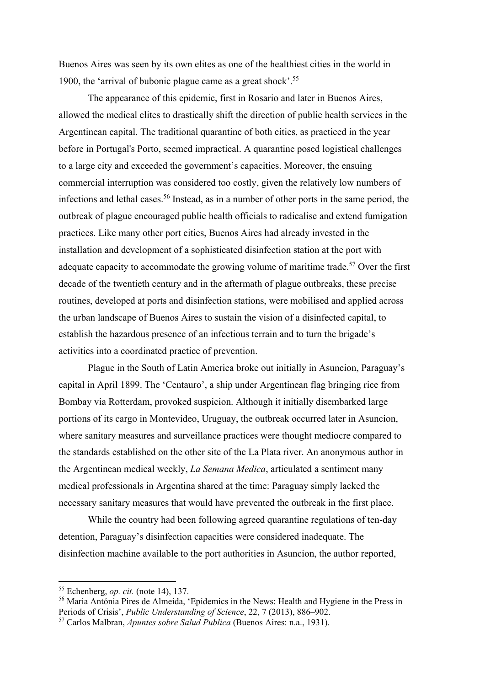Buenos Aires was seen by its own elites as one of the healthiest cities in the world in 1900, the 'arrival of bubonic plague came as a great shock'.<sup>55</sup>

The appearance of this epidemic, first in Rosario and later in Buenos Aires, allowed the medical elites to drastically shift the direction of public health services in the Argentinean capital. The traditional quarantine of both cities, as practiced in the year before in Portugal's Porto, seemed impractical. A quarantine posed logistical challenges to a large city and exceeded the government's capacities. Moreover, the ensuing commercial interruption was considered too costly, given the relatively low numbers of infections and lethal cases.<sup>56</sup> Instead, as in a number of other ports in the same period, the outbreak of plague encouraged public health officials to radicalise and extend fumigation practices. Like many other port cities, Buenos Aires had already invested in the installation and development of a sophisticated disinfection station at the port with adequate capacity to accommodate the growing volume of maritime trade.<sup>57</sup> Over the first decade of the twentieth century and in the aftermath of plague outbreaks, these precise routines, developed at ports and disinfection stations, were mobilised and applied across the urban landscape of Buenos Aires to sustain the vision of a disinfected capital, to establish the hazardous presence of an infectious terrain and to turn the brigade's activities into a coordinated practice of prevention.

Plague in the South of Latin America broke out initially in Asuncion, Paraguay's capital in April 1899. The 'Centauro', a ship under Argentinean flag bringing rice from Bombay via Rotterdam, provoked suspicion. Although it initially disembarked large portions of its cargo in Montevideo, Uruguay, the outbreak occurred later in Asuncion, where sanitary measures and surveillance practices were thought mediocre compared to the standards established on the other site of the La Plata river. An anonymous author in the Argentinean medical weekly, *La Semana Medica*, articulated a sentiment many medical professionals in Argentina shared at the time: Paraguay simply lacked the necessary sanitary measures that would have prevented the outbreak in the first place.

While the country had been following agreed quarantine regulations of ten-day detention, Paraguay's disinfection capacities were considered inadequate. The disinfection machine available to the port authorities in Asuncion, the author reported,

<sup>55</sup> Echenberg, *op. cit.* (note 14), 137.

<sup>56</sup> Maria Antónia Pires de Almeida, 'Epidemics in the News: Health and Hygiene in the Press in Periods of Crisis', *Public Understanding of Science*, 22, 7 (2013), 886–902.

<sup>57</sup> Carlos Malbran, *Apuntes sobre Salud Publica* (Buenos Aires: n.a., 1931).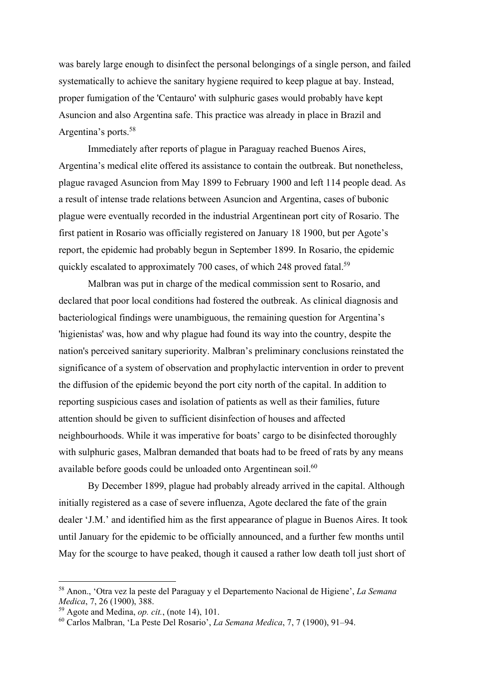was barely large enough to disinfect the personal belongings of a single person, and failed systematically to achieve the sanitary hygiene required to keep plague at bay. Instead, proper fumigation of the 'Centauro' with sulphuric gases would probably have kept Asuncion and also Argentina safe. This practice was already in place in Brazil and Argentina's ports.<sup>58</sup>

Immediately after reports of plague in Paraguay reached Buenos Aires, Argentina's medical elite offered its assistance to contain the outbreak. But nonetheless, plague ravaged Asuncion from May 1899 to February 1900 and left 114 people dead. As a result of intense trade relations between Asuncion and Argentina, cases of bubonic plague were eventually recorded in the industrial Argentinean port city of Rosario. The first patient in Rosario was officially registered on January 18 1900, but per Agote's report, the epidemic had probably begun in September 1899. In Rosario, the epidemic quickly escalated to approximately 700 cases, of which 248 proved fatal.<sup>59</sup>

Malbran was put in charge of the medical commission sent to Rosario, and declared that poor local conditions had fostered the outbreak. As clinical diagnosis and bacteriological findings were unambiguous, the remaining question for Argentina's 'higienistas' was, how and why plague had found its way into the country, despite the nation's perceived sanitary superiority. Malbran's preliminary conclusions reinstated the significance of a system of observation and prophylactic intervention in order to prevent the diffusion of the epidemic beyond the port city north of the capital. In addition to reporting suspicious cases and isolation of patients as well as their families, future attention should be given to sufficient disinfection of houses and affected neighbourhoods. While it was imperative for boats' cargo to be disinfected thoroughly with sulphuric gases, Malbran demanded that boats had to be freed of rats by any means available before goods could be unloaded onto Argentinean soil.<sup>60</sup>

By December 1899, plague had probably already arrived in the capital. Although initially registered as a case of severe influenza, Agote declared the fate of the grain dealer 'J.M.' and identified him as the first appearance of plague in Buenos Aires. It took until January for the epidemic to be officially announced, and a further few months until May for the scourge to have peaked, though it caused a rather low death toll just short of

<sup>58</sup> Anon., 'Otra vez la peste del Paraguay y el Departemento Nacional de Higiene', *La Semana Medica*, 7, 26 (1900), 388.

<sup>59</sup> Agote and Medina, *op. cit.*, (note 14), 101.

<sup>60</sup> Carlos Malbran, 'La Peste Del Rosario', *La Semana Medica*, 7, 7 (1900), 91–94.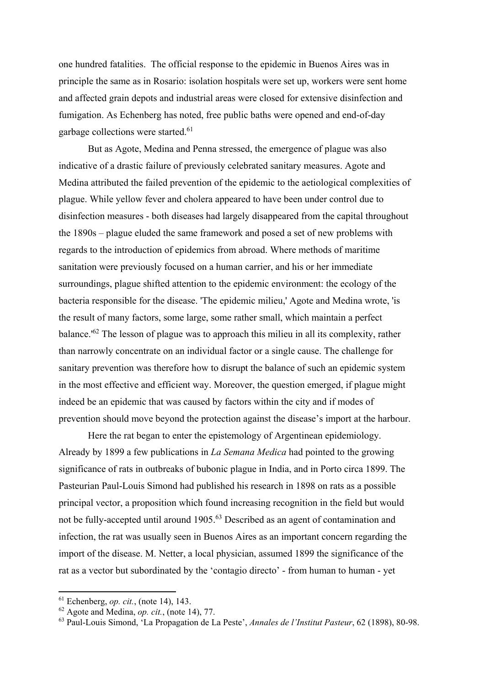one hundred fatalities. The official response to the epidemic in Buenos Aires was in principle the same as in Rosario: isolation hospitals were set up, workers were sent home and affected grain depots and industrial areas were closed for extensive disinfection and fumigation. As Echenberg has noted, free public baths were opened and end-of-day garbage collections were started.<sup>61</sup>

But as Agote, Medina and Penna stressed, the emergence of plague was also indicative of a drastic failure of previously celebrated sanitary measures. Agote and Medina attributed the failed prevention of the epidemic to the aetiological complexities of plague. While yellow fever and cholera appeared to have been under control due to disinfection measures - both diseases had largely disappeared from the capital throughout the 1890s – plague eluded the same framework and posed a set of new problems with regards to the introduction of epidemics from abroad. Where methods of maritime sanitation were previously focused on a human carrier, and his or her immediate surroundings, plague shifted attention to the epidemic environment: the ecology of the bacteria responsible for the disease. 'The epidemic milieu,' Agote and Medina wrote, 'is the result of many factors, some large, some rather small, which maintain a perfect balance.'62 The lesson of plague was to approach this milieu in all its complexity, rather than narrowly concentrate on an individual factor or a single cause. The challenge for sanitary prevention was therefore how to disrupt the balance of such an epidemic system in the most effective and efficient way. Moreover, the question emerged, if plague might indeed be an epidemic that was caused by factors within the city and if modes of prevention should move beyond the protection against the disease's import at the harbour.

Here the rat began to enter the epistemology of Argentinean epidemiology. Already by 1899 a few publications in *La Semana Medica* had pointed to the growing significance of rats in outbreaks of bubonic plague in India, and in Porto circa 1899. The Pasteurian Paul-Louis Simond had published his research in 1898 on rats as a possible principal vector, a proposition which found increasing recognition in the field but would not be fully-accepted until around 1905.<sup>63</sup> Described as an agent of contamination and infection, the rat was usually seen in Buenos Aires as an important concern regarding the import of the disease. M. Netter, a local physician, assumed 1899 the significance of the rat as a vector but subordinated by the 'contagio directo' - from human to human - yet

<sup>61</sup> Echenberg, *op. cit.*, (note 14), 143.

<sup>62</sup> Agote and Medina, *op. cit.*, (note 14), 77.

<sup>63</sup> Paul-Louis Simond, 'La Propagation de La Peste', *Annales de l'Institut Pasteur*, 62 (1898), 80-98.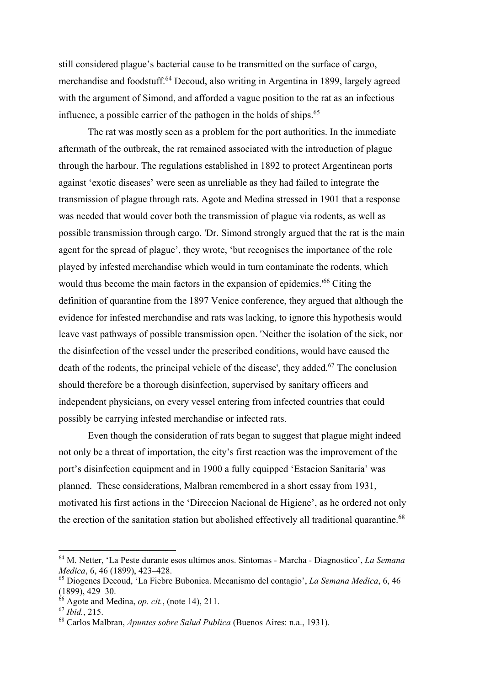still considered plague's bacterial cause to be transmitted on the surface of cargo, merchandise and foodstuff.64 Decoud, also writing in Argentina in 1899, largely agreed with the argument of Simond, and afforded a vague position to the rat as an infectious influence, a possible carrier of the pathogen in the holds of ships.<sup>65</sup>

The rat was mostly seen as a problem for the port authorities. In the immediate aftermath of the outbreak, the rat remained associated with the introduction of plague through the harbour. The regulations established in 1892 to protect Argentinean ports against 'exotic diseases' were seen as unreliable as they had failed to integrate the transmission of plague through rats. Agote and Medina stressed in 1901 that a response was needed that would cover both the transmission of plague via rodents, as well as possible transmission through cargo. 'Dr. Simond strongly argued that the rat is the main agent for the spread of plague', they wrote, 'but recognises the importance of the role played by infested merchandise which would in turn contaminate the rodents, which would thus become the main factors in the expansion of epidemics.'66 Citing the definition of quarantine from the 1897 Venice conference, they argued that although the evidence for infested merchandise and rats was lacking, to ignore this hypothesis would leave vast pathways of possible transmission open. 'Neither the isolation of the sick, nor the disinfection of the vessel under the prescribed conditions, would have caused the death of the rodents, the principal vehicle of the disease', they added.<sup>67</sup> The conclusion should therefore be a thorough disinfection, supervised by sanitary officers and independent physicians, on every vessel entering from infected countries that could possibly be carrying infested merchandise or infected rats.

Even though the consideration of rats began to suggest that plague might indeed not only be a threat of importation, the city's first reaction was the improvement of the port's disinfection equipment and in 1900 a fully equipped 'Estacion Sanitaria' was planned. These considerations, Malbran remembered in a short essay from 1931, motivated his first actions in the 'Direccion Nacional de Higiene', as he ordered not only the erection of the sanitation station but abolished effectively all traditional quarantine.<sup>68</sup>

<sup>64</sup> M. Netter, 'La Peste durante esos ultimos anos. Sintomas - Marcha - Diagnostico', *La Semana Medica*, 6, 46 (1899), 423–428.

<sup>65</sup> Diogenes Decoud, 'La Fiebre Bubonica. Mecanismo del contagio', *La Semana Medica*, 6, 46 (1899), 429–30.

 $66$  Agote and Medina, *op. cit.*, (note 14), 211.

<sup>67</sup> *Ibid.*, 215.

<sup>68</sup> Carlos Malbran, *Apuntes sobre Salud Publica* (Buenos Aires: n.a., 1931).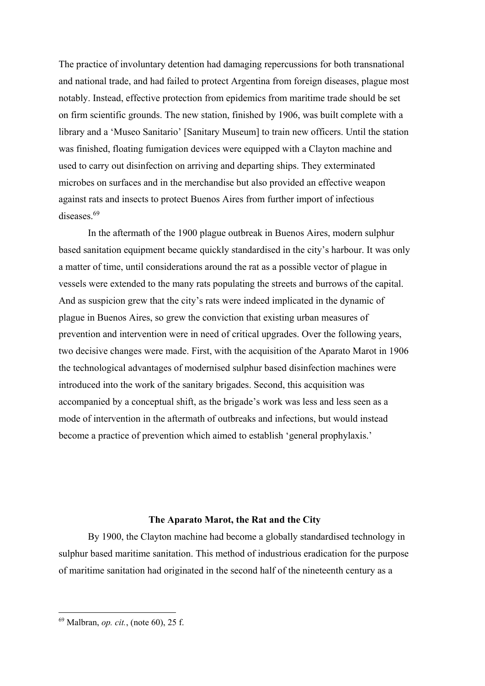The practice of involuntary detention had damaging repercussions for both transnational and national trade, and had failed to protect Argentina from foreign diseases, plague most notably. Instead, effective protection from epidemics from maritime trade should be set on firm scientific grounds. The new station, finished by 1906, was built complete with a library and a 'Museo Sanitario' [Sanitary Museum] to train new officers. Until the station was finished, floating fumigation devices were equipped with a Clayton machine and used to carry out disinfection on arriving and departing ships. They exterminated microbes on surfaces and in the merchandise but also provided an effective weapon against rats and insects to protect Buenos Aires from further import of infectious diseases.<sup>69</sup>

In the aftermath of the 1900 plague outbreak in Buenos Aires, modern sulphur based sanitation equipment became quickly standardised in the city's harbour. It was only a matter of time, until considerations around the rat as a possible vector of plague in vessels were extended to the many rats populating the streets and burrows of the capital. And as suspicion grew that the city's rats were indeed implicated in the dynamic of plague in Buenos Aires, so grew the conviction that existing urban measures of prevention and intervention were in need of critical upgrades. Over the following years, two decisive changes were made. First, with the acquisition of the Aparato Marot in 1906 the technological advantages of modernised sulphur based disinfection machines were introduced into the work of the sanitary brigades. Second, this acquisition was accompanied by a conceptual shift, as the brigade's work was less and less seen as a mode of intervention in the aftermath of outbreaks and infections, but would instead become a practice of prevention which aimed to establish 'general prophylaxis.'

#### **The Aparato Marot, the Rat and the City**

By 1900, the Clayton machine had become a globally standardised technology in sulphur based maritime sanitation. This method of industrious eradication for the purpose of maritime sanitation had originated in the second half of the nineteenth century as a

<sup>69</sup> Malbran, *op. cit.*, (note 60), 25 f.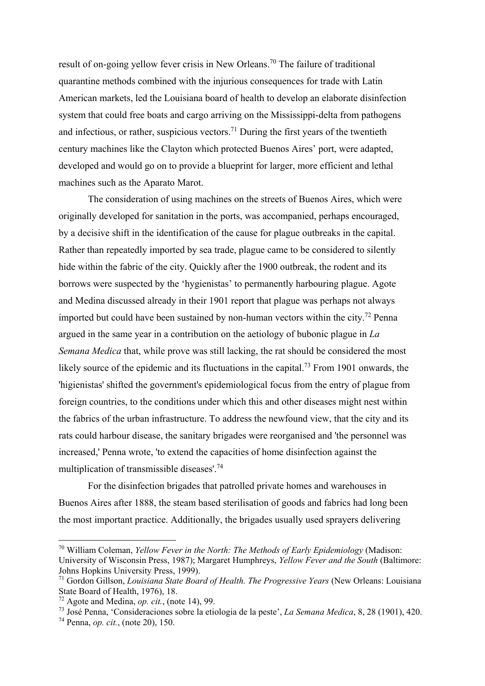result of on-going yellow fever crisis in New Orleans.<sup>70</sup> The failure of traditional quarantine methods combined with the injurious consequences for trade with Latin American markets, led the Louisiana board of health to develop an elaborate disinfection system that could free boats and cargo arriving on the Mississippi-delta from pathogens and infectious, or rather, suspicious vectors.<sup>71</sup> During the first years of the twentieth century machines like the Clayton which protected Buenos Aires' port, were adapted, developed and would go on to provide a blueprint for larger, more efficient and lethal machines such as the Aparato Marot.

The consideration of using machines on the streets of Buenos Aires, which were originally developed for sanitation in the ports, was accompanied, perhaps encouraged, by a decisive shift in the identification of the cause for plague outbreaks in the capital. Rather than repeatedly imported by sea trade, plague came to be considered to silently hide within the fabric of the city. Quickly after the 1900 outbreak, the rodent and its borrows were suspected by the 'hygienistas' to permanently harbouring plague. Agote and Medina discussed already in their 1901 report that plague was perhaps not always imported but could have been sustained by non-human vectors within the city.72 Penna argued in the same year in a contribution on the aetiology of bubonic plague in *La Semana Medica* that, while prove was still lacking, the rat should be considered the most likely source of the epidemic and its fluctuations in the capital.<sup>73</sup> From 1901 onwards, the 'higienistas' shifted the government's epidemiological focus from the entry of plague from foreign countries, to the conditions under which this and other diseases might nest within the fabrics of the urban infrastructure. To address the newfound view, that the city and its rats could harbour disease, the sanitary brigades were reorganised and 'the personnel was increased,' Penna wrote, 'to extend the capacities of home disinfection against the multiplication of transmissible diseases'.74

For the disinfection brigades that patrolled private homes and warehouses in Buenos Aires after 1888, the steam based sterilisation of goods and fabrics had long been the most important practice. Additionally, the brigades usually used sprayers delivering

<sup>70</sup> William Coleman, *Yellow Fever in the North: The Methods of Early Epidemiology* (Madison: University of Wisconsin Press, 1987); Margaret Humphreys, *Yellow Fever and the South* (Baltimore: Johns Hopkins University Press, 1999).

<sup>71</sup> Gordon Gillson, *Louisiana State Board of Health. The Progressive Years* (New Orleans: Louisiana State Board of Health, 1976), 18.

 $72$  Agote and Medina, *op. cit.*, (note 14), 99.

<sup>73</sup> José Penna, 'Consideraciones sobre la etiologia de la peste', *La Semana Medica*, 8, 28 (1901), 420.

<sup>74</sup> Penna, *op. cit.*, (note 20), 150.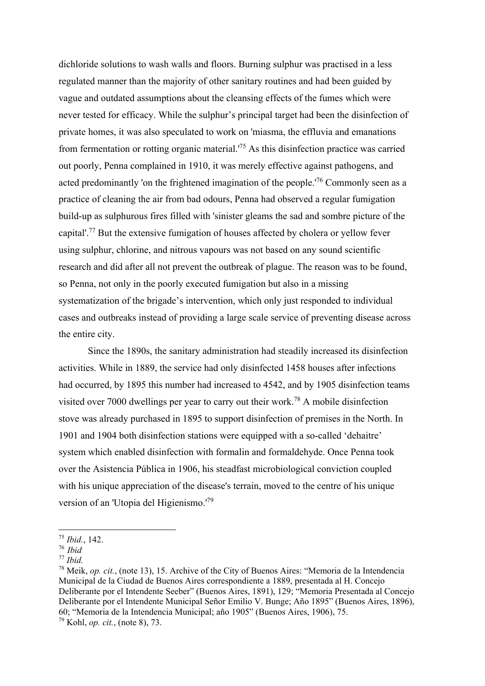dichloride solutions to wash walls and floors. Burning sulphur was practised in a less regulated manner than the majority of other sanitary routines and had been guided by vague and outdated assumptions about the cleansing effects of the fumes which were never tested for efficacy. While the sulphur's principal target had been the disinfection of private homes, it was also speculated to work on 'miasma, the effluvia and emanations from fermentation or rotting organic material.'75 As this disinfection practice was carried out poorly, Penna complained in 1910, it was merely effective against pathogens, and acted predominantly 'on the frightened imagination of the people.<sup>'76</sup> Commonly seen as a practice of cleaning the air from bad odours, Penna had observed a regular fumigation build-up as sulphurous fires filled with 'sinister gleams the sad and sombre picture of the capital'.77 But the extensive fumigation of houses affected by cholera or yellow fever using sulphur, chlorine, and nitrous vapours was not based on any sound scientific research and did after all not prevent the outbreak of plague. The reason was to be found, so Penna, not only in the poorly executed fumigation but also in a missing systematization of the brigade's intervention, which only just responded to individual cases and outbreaks instead of providing a large scale service of preventing disease across the entire city.

Since the 1890s, the sanitary administration had steadily increased its disinfection activities. While in 1889, the service had only disinfected 1458 houses after infections had occurred, by 1895 this number had increased to 4542, and by 1905 disinfection teams visited over 7000 dwellings per year to carry out their work.78 A mobile disinfection stove was already purchased in 1895 to support disinfection of premises in the North. In 1901 and 1904 both disinfection stations were equipped with a so-called 'dehaitre' system which enabled disinfection with formalin and formaldehyde. Once Penna took over the Asistencia Pública in 1906, his steadfast microbiological conviction coupled with his unique appreciation of the disease's terrain, moved to the centre of his unique version of an 'Utopia del Higienismo.'79

<sup>75</sup> *Ibid.*, 142.

<sup>76</sup>*Ibid*.

<sup>77</sup> *Ibid.*

<sup>78</sup> Meik, *op. cit.*, (note 13), 15. Archive of the City of Buenos Aires: "Memoria de la Intendencia Municipal de la Ciudad de Buenos Aires correspondiente a 1889, presentada al H. Concejo Deliberante por el Intendente Seeber" (Buenos Aires, 1891), 129; "Memoria Presentada al Concejo Deliberante por el Intendente Municipal Señor Emilio V. Bunge; Año 1895" (Buenos Aires, 1896), 60; "Memoria de la Intendencia Municipal; año 1905" (Buenos Aires, 1906), 75.

<sup>79</sup> Kohl, *op. cit.*, (note 8), 73.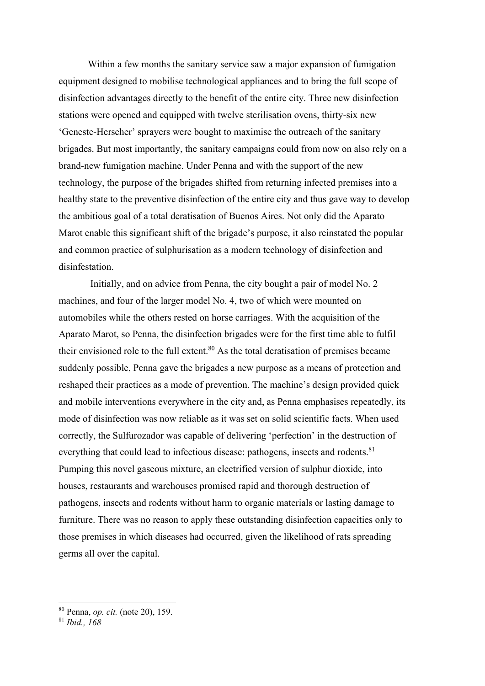Within a few months the sanitary service saw a major expansion of fumigation equipment designed to mobilise technological appliances and to bring the full scope of disinfection advantages directly to the benefit of the entire city. Three new disinfection stations were opened and equipped with twelve sterilisation ovens, thirty-six new 'Geneste-Herscher' sprayers were bought to maximise the outreach of the sanitary brigades. But most importantly, the sanitary campaigns could from now on also rely on a brand-new fumigation machine. Under Penna and with the support of the new technology, the purpose of the brigades shifted from returning infected premises into a healthy state to the preventive disinfection of the entire city and thus gave way to develop the ambitious goal of a total deratisation of Buenos Aires. Not only did the Aparato Marot enable this significant shift of the brigade's purpose, it also reinstated the popular and common practice of sulphurisation as a modern technology of disinfection and disinfestation.

 Initially, and on advice from Penna, the city bought a pair of model No. 2 machines, and four of the larger model No. 4, two of which were mounted on automobiles while the others rested on horse carriages. With the acquisition of the Aparato Marot, so Penna, the disinfection brigades were for the first time able to fulfil their envisioned role to the full extent. $80$  As the total deratisation of premises became suddenly possible, Penna gave the brigades a new purpose as a means of protection and reshaped their practices as a mode of prevention. The machine's design provided quick and mobile interventions everywhere in the city and, as Penna emphasises repeatedly, its mode of disinfection was now reliable as it was set on solid scientific facts. When used correctly, the Sulfurozador was capable of delivering 'perfection' in the destruction of everything that could lead to infectious disease: pathogens, insects and rodents.<sup>81</sup> Pumping this novel gaseous mixture, an electrified version of sulphur dioxide, into houses, restaurants and warehouses promised rapid and thorough destruction of pathogens, insects and rodents without harm to organic materials or lasting damage to furniture. There was no reason to apply these outstanding disinfection capacities only to those premises in which diseases had occurred, given the likelihood of rats spreading germs all over the capital.

<sup>80</sup> Penna, *op. cit.* (note 20), 159.

<sup>81</sup> *Ibid., 168*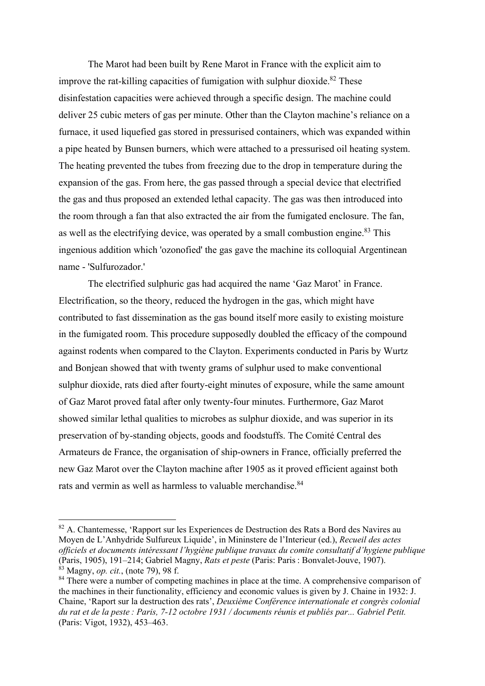The Marot had been built by Rene Marot in France with the explicit aim to improve the rat-killing capacities of fumigation with sulphur dioxide.<sup>82</sup> These disinfestation capacities were achieved through a specific design. The machine could deliver 25 cubic meters of gas per minute. Other than the Clayton machine's reliance on a furnace, it used liquefied gas stored in pressurised containers, which was expanded within a pipe heated by Bunsen burners, which were attached to a pressurised oil heating system. The heating prevented the tubes from freezing due to the drop in temperature during the expansion of the gas. From here, the gas passed through a special device that electrified the gas and thus proposed an extended lethal capacity. The gas was then introduced into the room through a fan that also extracted the air from the fumigated enclosure. The fan, as well as the electrifying device, was operated by a small combustion engine.<sup>83</sup> This ingenious addition which 'ozonofied' the gas gave the machine its colloquial Argentinean name - 'Sulfurozador.'

The electrified sulphuric gas had acquired the name 'Gaz Marot' in France. Electrification, so the theory, reduced the hydrogen in the gas, which might have contributed to fast dissemination as the gas bound itself more easily to existing moisture in the fumigated room. This procedure supposedly doubled the efficacy of the compound against rodents when compared to the Clayton. Experiments conducted in Paris by Wurtz and Bonjean showed that with twenty grams of sulphur used to make conventional sulphur dioxide, rats died after fourty-eight minutes of exposure, while the same amount of Gaz Marot proved fatal after only twenty-four minutes. Furthermore, Gaz Marot showed similar lethal qualities to microbes as sulphur dioxide, and was superior in its preservation of by-standing objects, goods and foodstuffs. The Comité Central des Armateurs de France, the organisation of ship-owners in France, officially preferred the new Gaz Marot over the Clayton machine after 1905 as it proved efficient against both rats and vermin as well as harmless to valuable merchandise.<sup>84</sup>

<sup>&</sup>lt;sup>82</sup> A. Chantemesse, 'Rapport sur les Experiences de Destruction des Rats a Bord des Navires au Moyen de L'Anhydride Sulfureux Liquide', in Mininstere de l'Interieur (ed.), *Recueil des actes officiels et documents intéressant l'hygiène publique travaux du comite consultatif d'hygiene publique* (Paris, 1905), 191–214; Gabriel Magny, *Rats et peste* (Paris: Paris : Bonvalet-Jouve, 1907). 83 Magny, *op. cit.*, (note 79), 98 f.

<sup>&</sup>lt;sup>84</sup> There were a number of competing machines in place at the time. A comprehensive comparison of the machines in their functionality, efficiency and economic values is given by J. Chaine in 1932: J. Chaine, 'Raport sur la destruction des rats', *Deuxième Conférence internationale et congrès colonial du rat et de la peste : Paris, 7-12 octobre 1931 / documents réunis et publiés par... Gabriel Petit.* (Paris: Vigot, 1932), 453–463.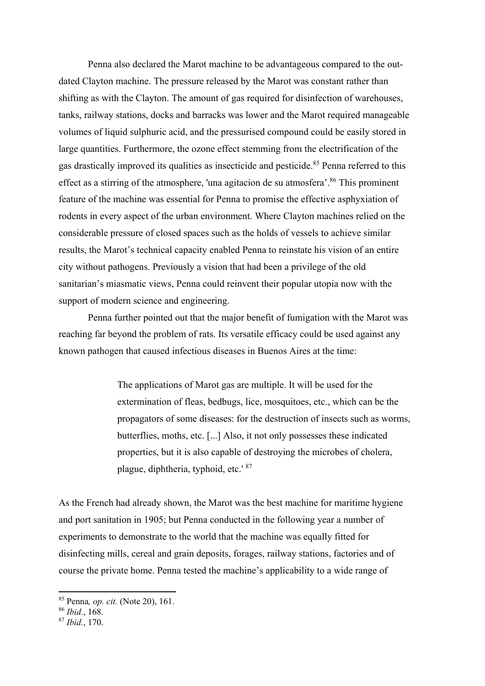Penna also declared the Marot machine to be advantageous compared to the outdated Clayton machine. The pressure released by the Marot was constant rather than shifting as with the Clayton. The amount of gas required for disinfection of warehouses, tanks, railway stations, docks and barracks was lower and the Marot required manageable volumes of liquid sulphuric acid, and the pressurised compound could be easily stored in large quantities. Furthermore, the ozone effect stemming from the electrification of the gas drastically improved its qualities as insecticide and pesticide.85 Penna referred to this effect as a stirring of the atmosphere, 'una agitacion de su atmosfera'.<sup>86</sup> This prominent feature of the machine was essential for Penna to promise the effective asphyxiation of rodents in every aspect of the urban environment. Where Clayton machines relied on the considerable pressure of closed spaces such as the holds of vessels to achieve similar results, the Marot's technical capacity enabled Penna to reinstate his vision of an entire city without pathogens. Previously a vision that had been a privilege of the old sanitarian's miasmatic views, Penna could reinvent their popular utopia now with the support of modern science and engineering.

Penna further pointed out that the major benefit of fumigation with the Marot was reaching far beyond the problem of rats. Its versatile efficacy could be used against any known pathogen that caused infectious diseases in Buenos Aires at the time:

> The applications of Marot gas are multiple. It will be used for the extermination of fleas, bedbugs, lice, mosquitoes, etc., which can be the propagators of some diseases: for the destruction of insects such as worms, butterflies, moths, etc. [...] Also, it not only possesses these indicated properties, but it is also capable of destroying the microbes of cholera, plague, diphtheria, typhoid, etc.' 87

As the French had already shown, the Marot was the best machine for maritime hygiene and port sanitation in 1905; but Penna conducted in the following year a number of experiments to demonstrate to the world that the machine was equally fitted for disinfecting mills, cereal and grain deposits, forages, railway stations, factories and of course the private home. Penna tested the machine's applicability to a wide range of

<sup>85</sup> Penna*, op. cit.* (Note 20), 161.

<sup>86</sup> *Ibid.*, 168.

<sup>87</sup> *Ibid.*, 170.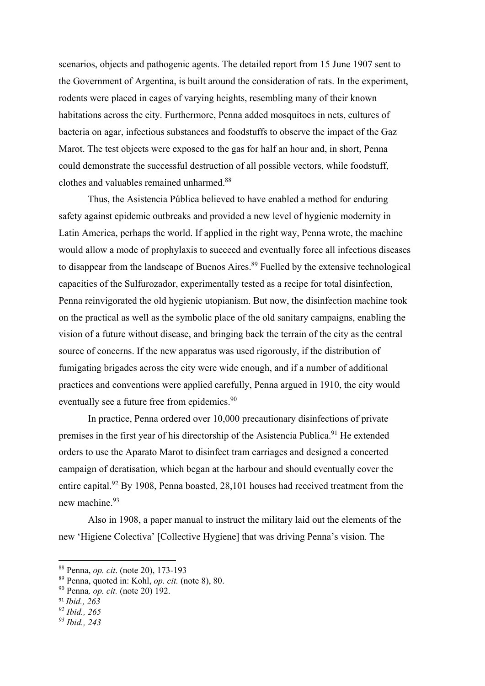scenarios, objects and pathogenic agents. The detailed report from 15 June 1907 sent to the Government of Argentina, is built around the consideration of rats. In the experiment, rodents were placed in cages of varying heights, resembling many of their known habitations across the city. Furthermore, Penna added mosquitoes in nets, cultures of bacteria on agar, infectious substances and foodstuffs to observe the impact of the Gaz Marot. The test objects were exposed to the gas for half an hour and, in short, Penna could demonstrate the successful destruction of all possible vectors, while foodstuff, clothes and valuables remained unharmed.<sup>88</sup>

Thus, the Asistencia Pública believed to have enabled a method for enduring safety against epidemic outbreaks and provided a new level of hygienic modernity in Latin America, perhaps the world. If applied in the right way, Penna wrote, the machine would allow a mode of prophylaxis to succeed and eventually force all infectious diseases to disappear from the landscape of Buenos Aires.<sup>89</sup> Fuelled by the extensive technological capacities of the Sulfurozador, experimentally tested as a recipe for total disinfection, Penna reinvigorated the old hygienic utopianism. But now, the disinfection machine took on the practical as well as the symbolic place of the old sanitary campaigns, enabling the vision of a future without disease, and bringing back the terrain of the city as the central source of concerns. If the new apparatus was used rigorously, if the distribution of fumigating brigades across the city were wide enough, and if a number of additional practices and conventions were applied carefully, Penna argued in 1910, the city would eventually see a future free from epidemics.<sup>90</sup>

In practice, Penna ordered over 10,000 precautionary disinfections of private premises in the first year of his directorship of the Asistencia Publica.<sup>91</sup> He extended orders to use the Aparato Marot to disinfect tram carriages and designed a concerted campaign of deratisation, which began at the harbour and should eventually cover the entire capital.<sup>92</sup> By 1908, Penna boasted, 28,101 houses had received treatment from the new machine.93

Also in 1908, a paper manual to instruct the military laid out the elements of the new 'Higiene Colectiva' [Collective Hygiene] that was driving Penna's vision. The

<sup>88</sup> Penna, *op. cit*. (note 20), 173-193

<sup>89</sup> Penna, quoted in: Kohl, *op. cit.* (note 8), 80.

<sup>90</sup> Penna*, op. cit.* (note 20) 192.

<sup>91</sup> *Ibid., 263* 

*<sup>92</sup> Ibid., 265* 

*<sup>93</sup> Ibid., 243*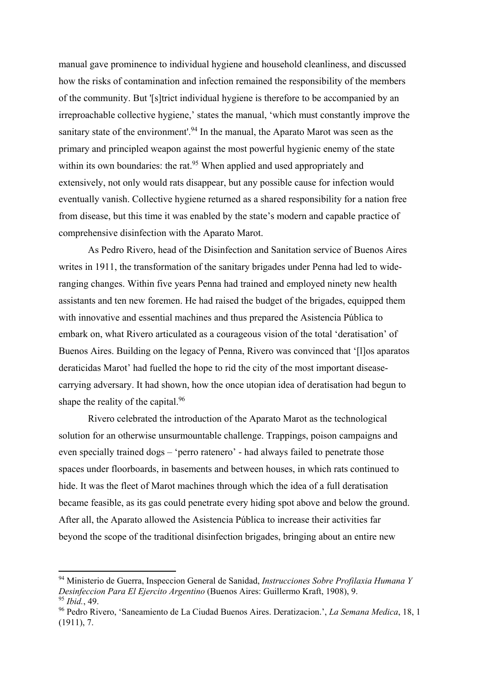manual gave prominence to individual hygiene and household cleanliness, and discussed how the risks of contamination and infection remained the responsibility of the members of the community. But '[s]trict individual hygiene is therefore to be accompanied by an irreproachable collective hygiene,' states the manual, 'which must constantly improve the sanitary state of the environment'.<sup>94</sup> In the manual, the Aparato Marot was seen as the primary and principled weapon against the most powerful hygienic enemy of the state within its own boundaries: the rat.<sup>95</sup> When applied and used appropriately and extensively, not only would rats disappear, but any possible cause for infection would eventually vanish. Collective hygiene returned as a shared responsibility for a nation free from disease, but this time it was enabled by the state's modern and capable practice of comprehensive disinfection with the Aparato Marot.

As Pedro Rivero, head of the Disinfection and Sanitation service of Buenos Aires writes in 1911, the transformation of the sanitary brigades under Penna had led to wideranging changes. Within five years Penna had trained and employed ninety new health assistants and ten new foremen. He had raised the budget of the brigades, equipped them with innovative and essential machines and thus prepared the Asistencia Pública to embark on, what Rivero articulated as a courageous vision of the total 'deratisation' of Buenos Aires. Building on the legacy of Penna, Rivero was convinced that '[l]os aparatos deraticidas Marot' had fuelled the hope to rid the city of the most important diseasecarrying adversary. It had shown, how the once utopian idea of deratisation had begun to shape the reality of the capital.<sup>96</sup>

Rivero celebrated the introduction of the Aparato Marot as the technological solution for an otherwise unsurmountable challenge. Trappings, poison campaigns and even specially trained dogs – 'perro ratenero' - had always failed to penetrate those spaces under floorboards, in basements and between houses, in which rats continued to hide. It was the fleet of Marot machines through which the idea of a full deratisation became feasible, as its gas could penetrate every hiding spot above and below the ground. After all, the Aparato allowed the Asistencia Pública to increase their activities far beyond the scope of the traditional disinfection brigades, bringing about an entire new

<sup>94</sup> Ministerio de Guerra, Inspeccion General de Sanidad, *Instrucciones Sobre Profilaxia Humana Y Desinfeccion Para El Ejercito Argentino* (Buenos Aires: Guillermo Kraft, 1908), 9. <sup>95</sup> *Ibid.*, 49.

<sup>96</sup> Pedro Rivero, 'Saneamiento de La Ciudad Buenos Aires. Deratizacion.', *La Semana Medica*, 18, 1 (1911), 7.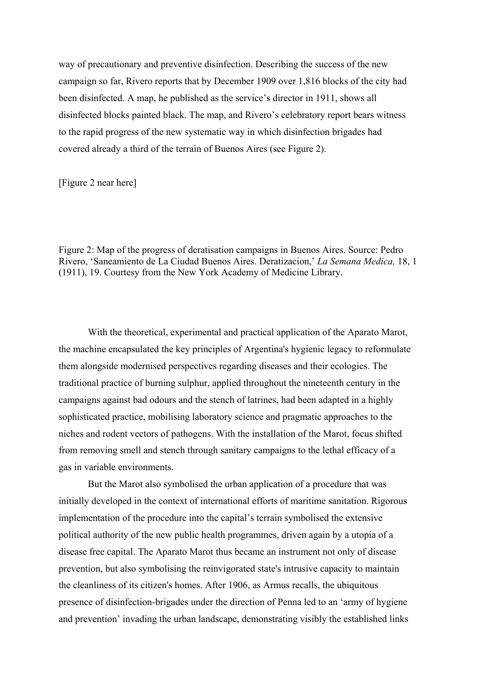way of precautionary and preventive disinfection. Describing the success of the new campaign so far, Rivero reports that by December 1909 over 1,816 blocks of the city had been disinfected. A map, he published as the service's director in 1911, shows all disinfected blocks painted black. The map, and Rivero's celebratory report bears witness to the rapid progress of the new systematic way in which disinfection brigades had covered already a third of the terrain of Buenos Aires (see Figure 2).

[Figure 2 near here]

Figure 2: Map of the progress of deratisation campaigns in Buenos Aires. Source: Pedro Rivero, 'Saneamiento de La Ciudad Buenos Aires. Deratizacion,' *La Semana Medica,* 18, 1 (1911), 19. Courtesy from the New York Academy of Medicine Library.

With the theoretical, experimental and practical application of the Aparato Marot, the machine encapsulated the key principles of Argentina's hygienic legacy to reformulate them alongside modernised perspectives regarding diseases and their ecologies. The traditional practice of burning sulphur, applied throughout the nineteenth century in the campaigns against bad odours and the stench of latrines, had been adapted in a highly sophisticated practice, mobilising laboratory science and pragmatic approaches to the niches and rodent vectors of pathogens. With the installation of the Marot, focus shifted from removing smell and stench through sanitary campaigns to the lethal efficacy of a gas in variable environments.

But the Marot also symbolised the urban application of a procedure that was initially developed in the context of international efforts of maritime sanitation. Rigorous implementation of the procedure into the capital's terrain symbolised the extensive political authority of the new public health programmes, driven again by a utopia of a disease free capital. The Aparato Marot thus became an instrument not only of disease prevention, but also symbolising the reinvigorated state's intrusive capacity to maintain the cleanliness of its citizen's homes. After 1906, as Armus recalls, the ubiquitous presence of disinfection-brigades under the direction of Penna led to an 'army of hygiene and prevention' invading the urban landscape, demonstrating visibly the established links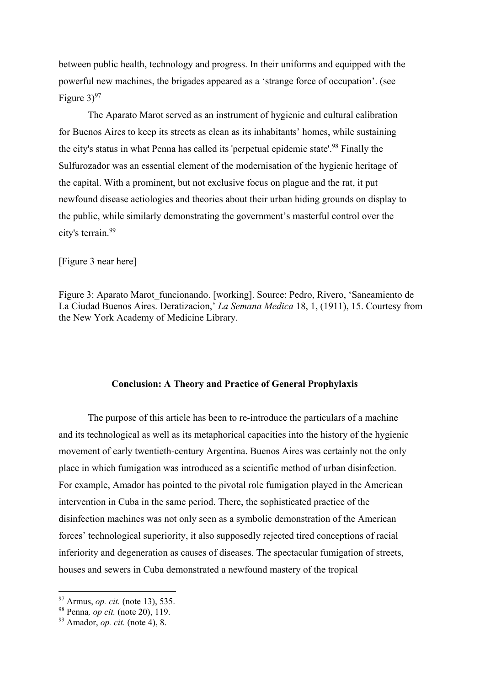between public health, technology and progress. In their uniforms and equipped with the powerful new machines, the brigades appeared as a 'strange force of occupation'. (see Figure  $3)^{97}$ 

The Aparato Marot served as an instrument of hygienic and cultural calibration for Buenos Aires to keep its streets as clean as its inhabitants' homes, while sustaining the city's status in what Penna has called its 'perpetual epidemic state'.<sup>98</sup> Finally the Sulfurozador was an essential element of the modernisation of the hygienic heritage of the capital. With a prominent, but not exclusive focus on plague and the rat, it put newfound disease aetiologies and theories about their urban hiding grounds on display to the public, while similarly demonstrating the government's masterful control over the city's terrain.99

#### [Figure 3 near here]

Figure 3: Aparato Marot\_funcionando. [working]. Source: Pedro, Rivero, 'Saneamiento de La Ciudad Buenos Aires. Deratizacion,' *La Semana Medica* 18, 1, (1911), 15. Courtesy from the New York Academy of Medicine Library.

#### **Conclusion: A Theory and Practice of General Prophylaxis**

The purpose of this article has been to re-introduce the particulars of a machine and its technological as well as its metaphorical capacities into the history of the hygienic movement of early twentieth-century Argentina. Buenos Aires was certainly not the only place in which fumigation was introduced as a scientific method of urban disinfection. For example, Amador has pointed to the pivotal role fumigation played in the American intervention in Cuba in the same period. There, the sophisticated practice of the disinfection machines was not only seen as a symbolic demonstration of the American forces' technological superiority, it also supposedly rejected tired conceptions of racial inferiority and degeneration as causes of diseases. The spectacular fumigation of streets, houses and sewers in Cuba demonstrated a newfound mastery of the tropical

<sup>97</sup> Armus, *op. cit.* (note 13), 535.

<sup>98</sup> Penna*, op cit.* (note 20), 119.

<sup>99</sup> Amador, *op. cit.* (note 4), 8.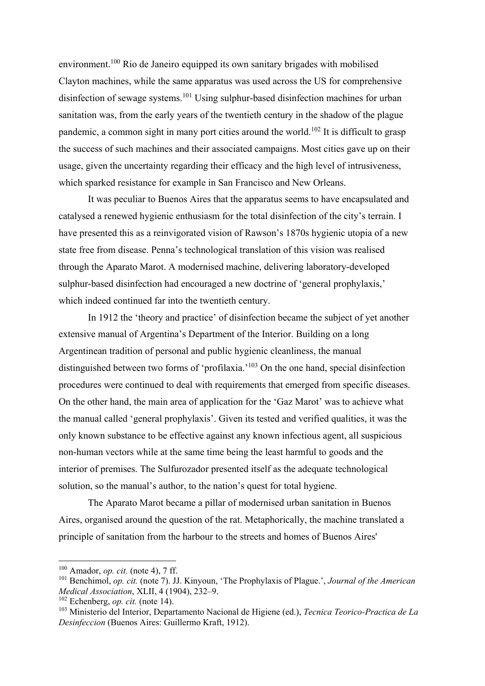environment.<sup>100</sup> Rio de Janeiro equipped its own sanitary brigades with mobilised Clayton machines, while the same apparatus was used across the US for comprehensive disinfection of sewage systems.<sup>101</sup> Using sulphur-based disinfection machines for urban sanitation was, from the early years of the twentieth century in the shadow of the plague pandemic, a common sight in many port cities around the world.<sup>102</sup> It is difficult to grasp the success of such machines and their associated campaigns. Most cities gave up on their usage, given the uncertainty regarding their efficacy and the high level of intrusiveness, which sparked resistance for example in San Francisco and New Orleans.

It was peculiar to Buenos Aires that the apparatus seems to have encapsulated and catalysed a renewed hygienic enthusiasm for the total disinfection of the city's terrain. I have presented this as a reinvigorated vision of Rawson's 1870s hygienic utopia of a new state free from disease. Penna's technological translation of this vision was realised through the Aparato Marot. A modernised machine, delivering laboratory-developed sulphur-based disinfection had encouraged a new doctrine of 'general prophylaxis,' which indeed continued far into the twentieth century.

In 1912 the 'theory and practice' of disinfection became the subject of yet another extensive manual of Argentina's Department of the Interior. Building on a long Argentinean tradition of personal and public hygienic cleanliness, the manual distinguished between two forms of 'profilaxia.'<sup>103</sup> On the one hand, special disinfection procedures were continued to deal with requirements that emerged from specific diseases. On the other hand, the main area of application for the 'Gaz Marot' was to achieve what the manual called 'general prophylaxis'. Given its tested and verified qualities, it was the only known substance to be effective against any known infectious agent, all suspicious non-human vectors while at the same time being the least harmful to goods and the interior of premises. The Sulfurozador presented itself as the adequate technological solution, so the manual's author, to the nation's quest for total hygiene.

The Aparato Marot became a pillar of modernised urban sanitation in Buenos Aires, organised around the question of the rat. Metaphorically, the machine translated a principle of sanitation from the harbour to the streets and homes of Buenos Aires'

<sup>100</sup> Amador, *op. cit.* (note 4), 7 ff.

<sup>101</sup> Benchimol, *op. cit.* (note 7). JJ. Kinyoun, 'The Prophylaxis of Plague.', *Journal of the American Medical Association*, XLII, 4 (1904), 232–9.

<sup>102</sup> Echenberg, *op. cit.* (note 14).

<sup>103</sup> Ministerio del Interior, Departamento Nacional de Higiene (ed.), *Tecnica Teorico-Practica de La Desinfeccion* (Buenos Aires: Guillermo Kraft, 1912).